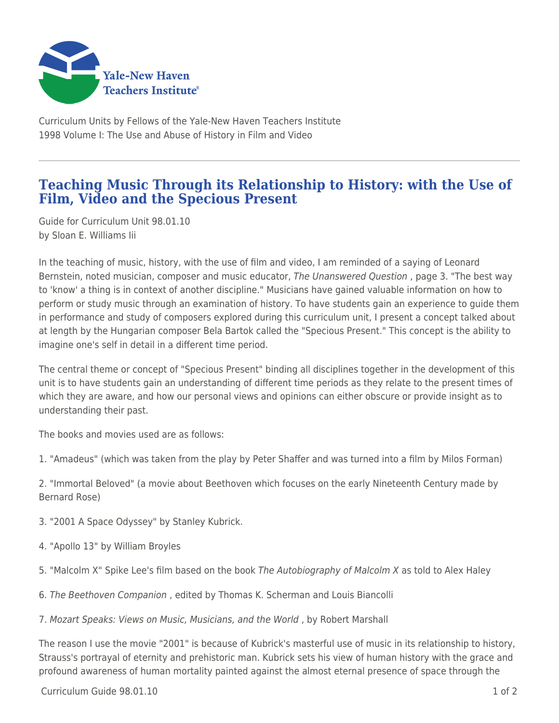

Curriculum Units by Fellows of the Yale-New Haven Teachers Institute 1998 Volume I: The Use and Abuse of History in Film and Video

## **Teaching Music Through its Relationship to History: with the Use of Film, Video and the Specious Present**

Guide for Curriculum Unit 98.01.10 by Sloan E. Williams Iii

In the teaching of music, history, with the use of film and video, I am reminded of a saying of Leonard Bernstein, noted musician, composer and music educator, The Unanswered Question, page 3. "The best way to 'know' a thing is in context of another discipline." Musicians have gained valuable information on how to perform or study music through an examination of history. To have students gain an experience to guide them in performance and study of composers explored during this curriculum unit, I present a concept talked about at length by the Hungarian composer Bela Bartok called the "Specious Present." This concept is the ability to imagine one's self in detail in a different time period.

The central theme or concept of "Specious Present" binding all disciplines together in the development of this unit is to have students gain an understanding of different time periods as they relate to the present times of which they are aware, and how our personal views and opinions can either obscure or provide insight as to understanding their past.

The books and movies used are as follows:

1. "Amadeus" (which was taken from the play by Peter Shaffer and was turned into a film by Milos Forman)

2. "Immortal Beloved" (a movie about Beethoven which focuses on the early Nineteenth Century made by Bernard Rose)

- 3. "2001 A Space Odyssey" by Stanley Kubrick.
- 4. "Apollo 13" by William Broyles
- 5. "Malcolm X" Spike Lee's film based on the book The Autobiography of Malcolm X as told to Alex Haley
- 6. The Beethoven Companion , edited by Thomas K. Scherman and Louis Biancolli

7. Mozart Speaks: Views on Music, Musicians, and the World , by Robert Marshall

The reason I use the movie "2001" is because of Kubrick's masterful use of music in its relationship to history, Strauss's portrayal of eternity and prehistoric man. Kubrick sets his view of human history with the grace and profound awareness of human mortality painted against the almost eternal presence of space through the